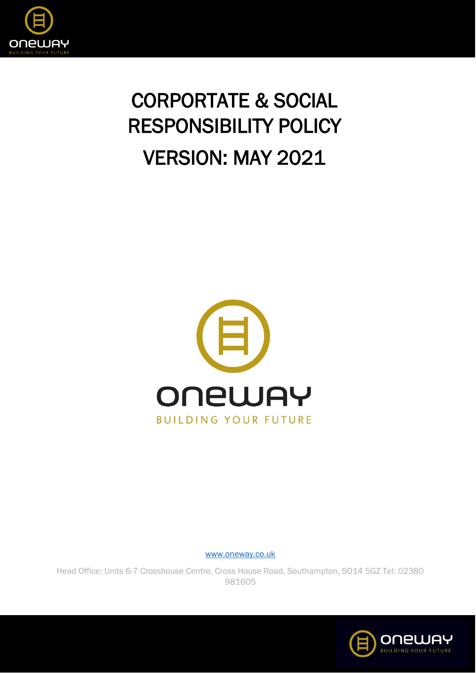

## CORPORTATE & SOCIAL RESPONSIBILITY POLICY VERSION: MAY 2021



[www.oneway.co.uk](http://www.oneway.co.uk/)

Head Office: Units 6-7 Crosshouse Centre, Cross House Road, Southampton, SO14 5GZ Tel: 02380 981605